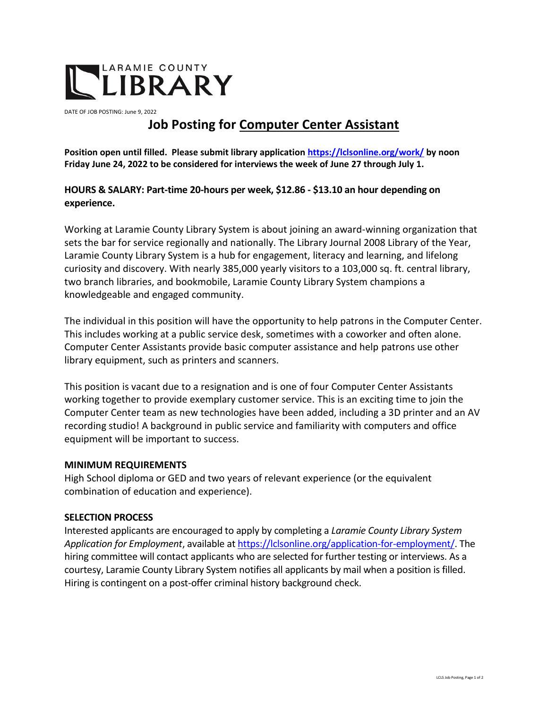

DATE OF JOB POSTING: June 9, 2022

# **Job Posting for Computer Center Assistant**

**Position open until filled. Please submit library applicatio[n https://lclsonline.org/work/](https://lclsonline.org/work/) by noon Friday June 24, 2022 to be considered for interviews the week of June 27 through July 1.** 

## **HOURS & SALARY: Part-time 20-hours per week, \$12.86 - \$13.10 an hour depending on experience.**

Working at Laramie County Library System is about joining an award-winning organization that sets the bar for service regionally and nationally. The Library Journal 2008 Library of the Year, Laramie County Library System is a hub for engagement, literacy and learning, and lifelong curiosity and discovery. With nearly 385,000 yearly visitors to a 103,000 sq. ft. central library, two branch libraries, and bookmobile, Laramie County Library System champions a knowledgeable and engaged community.

The individual in this position will have the opportunity to help patrons in the Computer Center. This includes working at a public service desk, sometimes with a coworker and often alone. Computer Center Assistants provide basic computer assistance and help patrons use other library equipment, such as printers and scanners.

This position is vacant due to a resignation and is one of four Computer Center Assistants working together to provide exemplary customer service. This is an exciting time to join the Computer Center team as new technologies have been added, including a 3D printer and an AV recording studio! A background in public service and familiarity with computers and office equipment will be important to success.

### **MINIMUM REQUIREMENTS**

High School diploma or GED and two years of relevant experience (or the equivalent combination of education and experience).

#### **SELECTION PROCESS**

Interested applicants are encouraged to apply by completing a *Laramie County Library System Application for Employment*, available a[t https://lclsonline.org/application-for-employment/.](https://lclsonline.org/application-for-employment/) The hiring committee will contact applicants who are selected for further testing or interviews. As a courtesy, Laramie County Library System notifies all applicants by mail when a position is filled. Hiring is contingent on a post-offer criminal history background check.